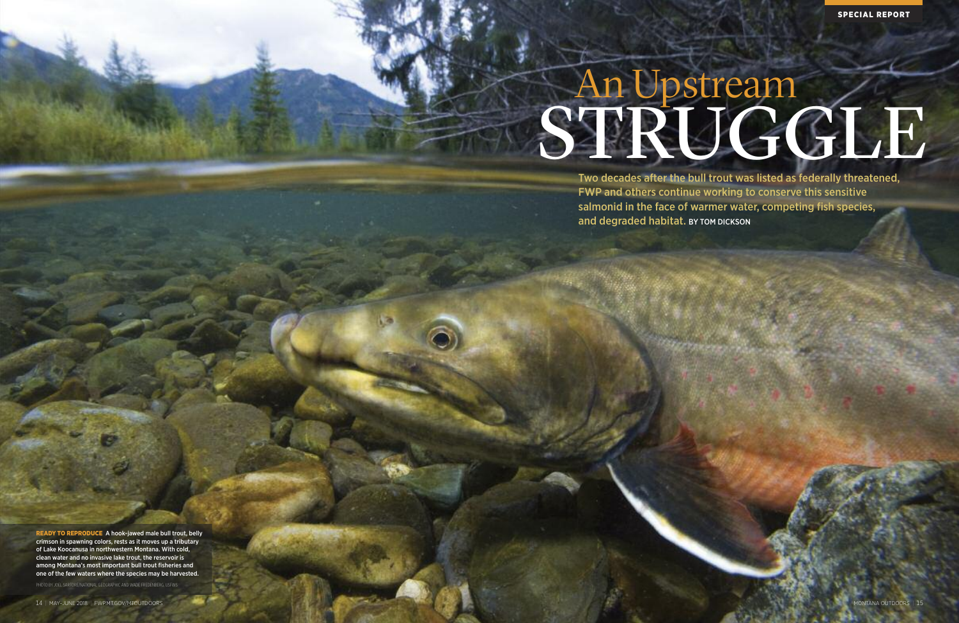Two decades after the bull trout was listed as federally threatened, FWP and others continue working to conserve this sensitive salmonid in the face of warmer water, competing fish species, and degraded habitat. BY TOM DICKSON

# An Upstream STRUGGLE

**SPECIAL REPORT**

**READY TO REPRODUCE** A hook-jawed male bull trout, belly crimson in spawning colors, rests as it moves up a tributary of Lake Koocanusa in northwestern Montana. With cold, clean water and no invasive lake trout, the reservoir is among Montana's most important bull trout fisheries and one of the few waters where the species may be harvested.

PHOTO BY JOEL SARTORE/NATIONAL GEOGRAPHIC AND WADE FREDENBERG, USFWS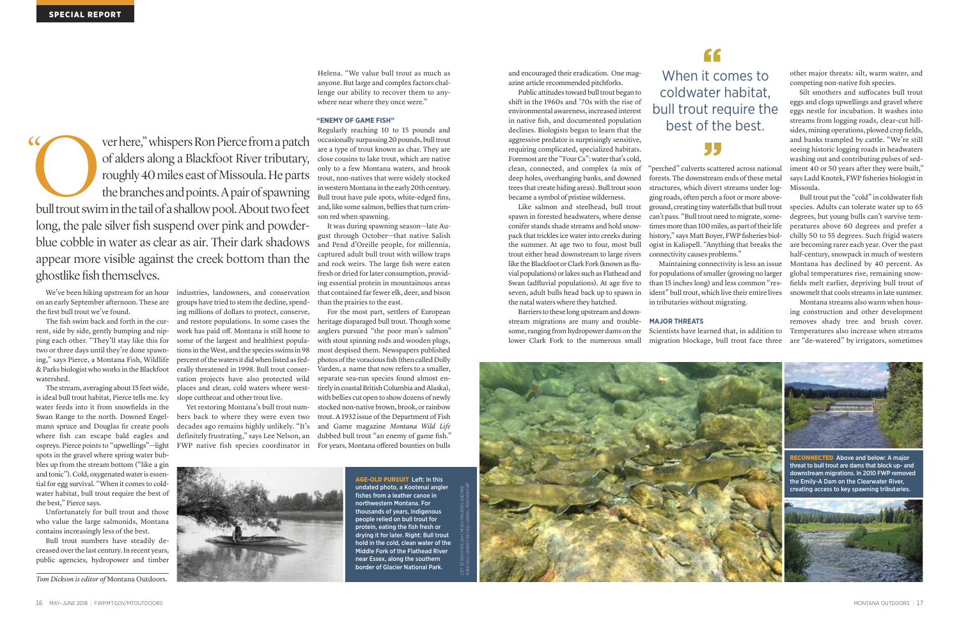and encouraged their eradication. One magazine article recommended pitchforks.

Public attitudes toward bull trout began to shift in the 1960s and '70s with the rise of environmental awareness, increased interest in native fish, and documented population declines. Biologists began to learn that the aggressive predator is surprisingly sensitive, requiring complicated, specialized habitats. Foremost are the "Four Cs": water that's cold, clean, connected, and complex (a mix of deep holes, overhanging banks, and downed trees that create hiding areas). Bull trout soon became a symbol of pristine wilderness.

Barriers to these long upstream and downstream migrations are many and troublesome, ranging from hydropower dams on the lower Clark Fork to the numerous small

Like salmon and steelhead, bull trout spawn in forested headwaters, where dense conifer stands shade streams and hold snowpack that trickles ice water into creeks during the summer. At age two to four, most bull trout either head downstream to large rivers like the Blackfoot or Clark Fork (known as fluvial populations) or lakes such as Flathead and Swan (adfluvial populations). At age five to seven, adult bulls head back up to spawn in the natal waters where they hatched.

"perched" culverts scattered across national forests. The downstream ends of these metal structures, which divert streams under logging roads, often perch a foot or more aboveground, creating tiny waterfalls that bull trout can't pass. "Bull trout need to migrate, sometimes more than 100 miles, as part of their life history," says Matt Boyer, FWP fisheries biologist in Kalispell. "Anything that breaks the connectivity causes problems."

Maintaining connectivity is less an issue for populations of smaller (growing no larger than 15 inches long) and less common "resident" bull trout, which live their entire lives in tributaries without migrating.

#### **MAJOR THREATS**

Scientists have learned that, in addition to migration blockage, bull trout face three other major threats: silt, warm water, and competing non-native fish species.

industries, landowners, and conservation groups have tried to stem the decline, spending millions of dollars to protect, conserve, and restore populations. In some cases the work has paid off. Montana is still home to some of the largest and healthiest populations in the West, and the species swims in 98 percent of the waters it did when listed as fed-

Silt smothers and suffocates bull trout eggs and clogs upwellings and gravel where eggs nestle for incubation. It washes into streams from logging roads, clear-cut hillsides, mining operations, plowed crop fields, and banks trampled by cattle. "We're still seeing historic logging roads in headwaters washing out and contributing pulses of sediment 40 or 50 years after they were built," says Ladd Knotek, FWP fisheries biologist in Missoula.

Bull trout put the "cold" in coldwater fish species. Adults can tolerate water up to 65 degrees, but young bulls can't survive temperatures above 60 degrees and prefer a chilly 50 to 55 degrees. Such frigid waters are becoming rarer each year. Over the past half-century, snowpack in much of western Montana has declined by 40 percent. As global temperatures rise, remaining snowfields melt earlier, depriving bull trout of snowmelt that cools streams in late summer.

Montana streams also warm when housing construction and other development removes shady tree and brush cover. Temperatures also increase when streams are "de-watered" by irrigators, sometimes

We've been hiking upstream for an hour on an early September afternoon. These are the first bull trout we've found.

The fish swim back and forth in the current, side by side, gently bumping and nipping each other. "They'll stay like this for two or three days until they're done spawning," says Pierce, a Montana Fish, Wildlife & Parks biologist who works in the Blackfoot erally threatened in 1998. Bull trout conserwatershed.

> **AGE-OLD PURSUIT** Left: In this undated photo, a Kootenai angler fishes from a leather canoe in northwestern Montana. For thousands of years, indigenous people relied on bull trout for protein, eating the fish fresh or drying it for later. Right: Bull trout hold in the cold, clean water of the Middle Fork of the Flathead River near Essex, along the southern undated photo, a Kootenai angler<br>fishes from a leather canoe in<br>northwestern Montana. For<br>thousands of years, indigenous<br>people relied on bull trout for<br>protein, eating the fish fresh or<br>drying it for later. Right: Bull tr

The stream, averaging about 15 feet wide, is ideal bull trout habitat, Pierce tells me. Icy water feeds into it from snowfields in the Swan Range to the north. Downed Engelmann spruce and Douglas fir create pools where fish can escape bald eagles and ospreys. Pierce points to "upwellings"—light spots in the gravel where spring water bubbles up from the stream bottom ("like a gin and tonic"). Cold, oxygenated water is essential for egg survival. "When it comes to coldwater habitat, bull trout require the best of the best," Pierce says.

Unfortunately for bull trout and those who value the large salmonids, Montana contains increasingly less of the best.

Bull trout numbers have steadily decreased over the last century. In recent years, public agencies, hydropower and timber

vation projects have also protected wild places and clean, cold waters where west-

Yet restoring Montana's bull trout numbers back to where they were even two decades ago remains highly unlikely. "It's definitely frustrating," says Lee Nelson, an FWP native fish species coordinator in

slope cutthroat and other trout live.

Helena. "We value bull trout as much as anyone. But large and complex factors challenge our ability to recover them to anywhere near where they once were."

#### **"ENEMY OF GAME FISH"**

Regularly reaching 10 to 15 pounds and occasionally surpassing 20 pounds, bull trout are a type of trout known as char. They are close cousins to lake trout, which are native only to a few Montana waters, and brook trout, non-natives that were widely stocked in western Montana in the early 20th century. Bull trout have pale spots, white-edged fins, and, like some salmon, bellies that turn crimson red when spawning.

It was during spawning season—late August through October—that native Salish and Pend d'Oreille people, for millennia, captured adult bull trout with willow traps and rock weirs. The large fish were eaten fresh or dried forlater consumption, providing essential protein in mountainous areas that contained far fewer elk, deer, and bison than the prairies to the east.

For the most part, settlers of European heritage disparaged bull trout. Though some anglers pursued "the poor man's salmon" with stout spinning rods and wooden plugs, most despised them. Newspapers published photos of the voracious fish (then called Dolly Varden, a name that now refers to a smaller, separate sea-run species found almost entirely in coastal British Columbia and Alaska), with bellies cut open to show dozens of newly stocked non-native brown, brook, or rainbow trout. A 1932 issue of the Department of Fish and Game magazine *Montana Wild Life* dubbed bull trout "an enemy of game fish." For years, Montana offered bounties on bulls





When i t comes to **"** coldwater habitat, best of the best.

### 55

# bull trout require the

ver here," whispers Ron Pierce from a patch of alders along a Blackfoot River tributary, roughly 40miles eastofMissoula.He parts the branches and points. A pair of spawning ver here," whispers Ron Pierce from a patch<br>of alders along a Blackfoot River tributary,<br>roughly 40 miles east of Missoula. He parts<br>the branches and points. A pair of spawning<br>bull trout swim in the tail of a shallow pool long, the pale silver fish suspend over pink and powderblue cobble in water as clear as air. Their dark shadows appear more visible against the creek bottom than the ghostlike fish themselves.  $\alpha$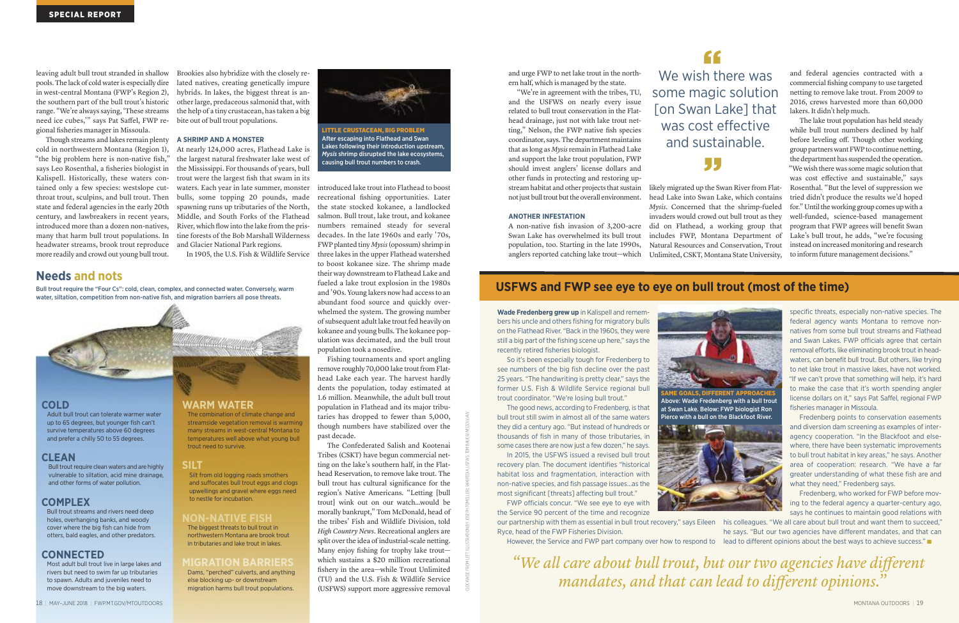and urge FWP to net lake trout in the northern half, which is managed by the state.

"We're in agreement with the tribes, TU, and the USFWS on nearly every issue related to bull trout conservation in the Flathead drainage, just not with lake trout netting," Nelson, the FWP native fish species coordinator, says.The department maintains that as long as *Mysis*remain in Flathead Lake and support the lake trout population, FWP should invest anglers' license dollars and other funds in protecting and restoring upstream habitat and other projects that sustain not just bull trout but the overall environment.

#### **ANOTHER INFESTATION**

A non-native fish invasion of 3,200-acre Swan Lake has overwhelmed its bull trout population, too. Starting in the late 1990s, anglers reported catching lake trout—which

Though streams and lakes remain plenty cold in northwestern Montana (Region 1), "the big problem here is non-native fish," says Leo Rosenthal, a fisheries biologist in Kalispell. Historically, these waters contained only a few species: westslope cutthroat trout, sculpins, and bull trout. Then state and federal agencies in the early 20th century, and lawbreakers in recent years, introduced more than a dozen non-natives, many that harm bull trout populations. In headwater streams, brook trout reproduce more readily and crowd out young bull trout.

and federal agencies contracted with a commercial fishing company to use targeted netting to remove lake trout. From 2009 to 2016, crews harvested more than 60,000 lakers. It didn't help much.

The lake trout population has held steady while bull trout numbers declined by half before leveling off. Though other working group partners want FWP to continue netting, the department has suspended the operation. 99 "We wish there was some magic solution that was cost effective and sustainable," says likely migrated up the Swan River from Flat-Rosenthal. "But the level of suppression we head Lake into Swan Lake, which contains tried didn't produce the results we'd hoped for." Until the working group comes up with a *Mysis*. Concerned that the shrimp-fueled invaders would crowd out bull trout as they well-funded, science-based management did on Flathead, a working group that program that FWP agrees will benefit Swan includes FWP, Montana Department of Lake's bull trout, he adds, "we're focusing Natural Resources and Conservation, Trout instead on increased monitoring and research Unlimited, CSKT, Montana State University, to inform future management decisions."

leaving adult bull trout stranded in shallow pools.The lack of coldwateris especially dire in west-central Montana (FWP's Region 2), the southern part of the bull trout's historic range. "We're always saying, 'These streams the help of a tiny crustacean, has taken a big need ice cubes,'" says Pat Saffel, FWP re-bite out of bull trout populations. gional fisheries manager in Missoula.

Brookies also hybridize with the closely related natives, creating genetically impure hybrids. In lakes, the biggest threat is another large, predaceous salmonid that, with

Bull trout require clean waters and are highly vulnerable to siltation, acid mine drainage, and other forms of water pollution.

#### **A SHRIMP AND A MONSTER**

At nearly 124,000 acres, Flathead Lake is the largest natural freshwater lake west of the Mississippi. For thousands of years, bull trout were the largest fish that swam in its waters. Each year in late summer, monster bulls, some topping 20 pounds, made spawning runs up tributaries of the North, Middle, and South Forks of the Flathead River, which flow into the lake from the pristine forests of the Bob Marshall Wilderness and Glacier National Park regions.

In 1905, the U.S. Fish & Wildlife Service

introduced lake trout into Flathead to boost recreational fishing opportunities. Later the state stocked kokanee, a landlocked salmon. Bull trout, lake trout, and kokanee numbers remained steady for several decades. In the late 1960s and early '70s, FWP planted tiny *Mysis*(opossum) shrimp in three lakes in the upper Flathead watershed to boost kokanee size. The shrimp made their way downstream to Flathead Lake and fueled a lake trout explosion in the 1980s and '90s. Young lakers now had access to an abundant food source and quickly overwhelmed the system. The growing number of subsequent adult lake trout fed heavily on kokanee and young bulls. The kokanee population was decimated, and the bull trout population took a nosedive.

Fishing tournaments and sport angling remove roughly 70,000 lake trout from Flathead Lake each year. The harvest hardly dents the population, today estimated at 1.6 million. Meanwhile, the adult bull trout population in Flathead and its major tributaries has dropped to fewer than 5,000, though numbers have stabilized over the past decade.

> our partnership with them as essential in bull trout recovery," says Eileen his colleagues. "We all care about bull trout and want them to succeed," However, the Service and FWP part company over how to respond to lead to different opinions about the best ways to achieve success." he says. "But our two agencies have different mandates, and that can

# **We wish there was** some magic solution [on Swan Lake] that was cost effective and sustainable.

The Confederated Salish and Kootenai Tribes (CSKT) have begun commercial netting on the lake's southern half, in the Flathead Reservation, to remove lake trout. The bull trout has cultural significance for the region's Native Americans. "Letting [bull trout] wink out on our watch…would be morally bankrupt," Tom McDonald, head of the tribes' Fish and Wildlife Division, told *High Country News*. Recreational anglers are split over the idea of industrial-scale netting. Many enjoy fishing for trophy lake trout which sustains a \$20 million recreational fishery in the area—while Trout Unlimited (TU) and the U.S. Fish & Wildlife Service (USFWS) support more aggressive removal

#### **Needs and nots**

Bull trout require the "Four Cs": cold, clean, complex, and connected water. Conversely, warm water, siltation, competition from non-native fish, and migration barriers all pose threats.



#### **COLD**

Adult bull trout can tolerate warmer water up to 65 degrees, but younger fish can't survive temperatures above 60 degrees and prefer a chilly 50 to 55 degrees.

#### **CLEAN**

#### **COMPLEX**

Bull trout streams and rivers need deep holes, overhanging banks, and woody cover where the big fish can hide from otters, bald eagles, and other predators.

#### **CONNECTED**

Most adult bull trout live in large lakes and rivers but need to swim far up tributaries to spawn. Adults and juveniles need to move downstream to the big waters.

#### **WARM WATER**

The combination of climate change and streamside vegetation removal is warming many streams in west-central Montana to temperatures well above what young bull trout need to survive.

#### **SILT**

Silt from old logging roads smothers and suffocates bull trout eggs and clogs upwellings and gravel where eggs need to nestle for incubation.

#### **NON-NATIVE FISH**

The biggest threats to bull trout in northwestern Montana are brook trout in tributaries and lake trout in lakes.

#### **MIGRATION BARRIERS**

Dams, "perched" culverts, and anything else blocking up- or downstream migration harms bull trout populations.

**Wade Fredenberg grew up** in Kalispell and remembers his uncle and others fishing for migratory bulls on the Flathead River. "Back in the 1960s, they were still a big part of the fishing scene up here," says the recently retired fisheries biologist.

So it's been especially tough for Fredenberg to see numbers of the big fish decline over the past 25 years. "The handwriting is pretty clear," says the former U.S. Fish & Wildlife Service regional bull trout coordinator. "We're losing bull trout."

The good news, according to Fredenberg, is that bull trout still swim in almost all of the same waters they did a century ago. "But instead of hundreds or thousands of fish in many of those tributaries, in some cases there are now just a few dozen," he says.

In 2015, the USFWS issued a revised bull trout recovery plan. The document identifies "historical habitat loss and fragmentation, interaction with non-native species, and fish passage issues…as the most significant [threats] affecting bull trout."

FWP officials concur. "We see eye to eye with the Service 90 percent of the time and recognize

Ryce, head of the FWP Fisheries Division.

specific threats, especially non-native species. The federal agency wants Montana to remove nonnatives from some bull trout streams and Flathead and Swan Lakes. FWP officials agree that certain removal efforts, like eliminating brook trout in headwaters, can benefit bull trout. But others, like trying to net lake trout in massive lakes, have not worked. "If we can't prove that something will help, it's hard to make the case that it's worth spending angler license dollars on it," says Pat Saffel, regional FWP fisheries manager in Missoula.

Fredenberg points to conservation easements and diversion dam screening as examples of interagency cooperation. "In the Blackfoot and elsewhere, there have been systematic improvements to bull trout habitat in key areas," he says. Another area of cooperation: research. "We have a far greater understanding of what these fish are and what they need," Fredenberg says.

Fredenberg, who worked for FWP before moving to the federal agency a quarter-century ago, says he continues to maintain good relations with

#### **USFWS and FWP see eye to eye on bull trout (most of the time)**

**SAME GOALS, DIFFERENT APPROACHES**

Above: Wade Fredenberg with a bull trout at Swan Lake. Below: FWP biologist Ron Pierce with a bull on the Blackfoot River.





After escaping into Flathead and Swan Lakes following their introduction upstream, *Mysis* shrimp disrupted the lake ecosystems, causing bull trout numbers to crash.

*"We all care about bull trout, but our two agencies have different mandates, and that can lead to different opinions."*



CLOCKWISE FROM LEFT: ILLUSTRATION BY JOSEPH TOMELLERI; WIKIPEDIA; USFWS;TOMBAUER/*MISSOULIAN*